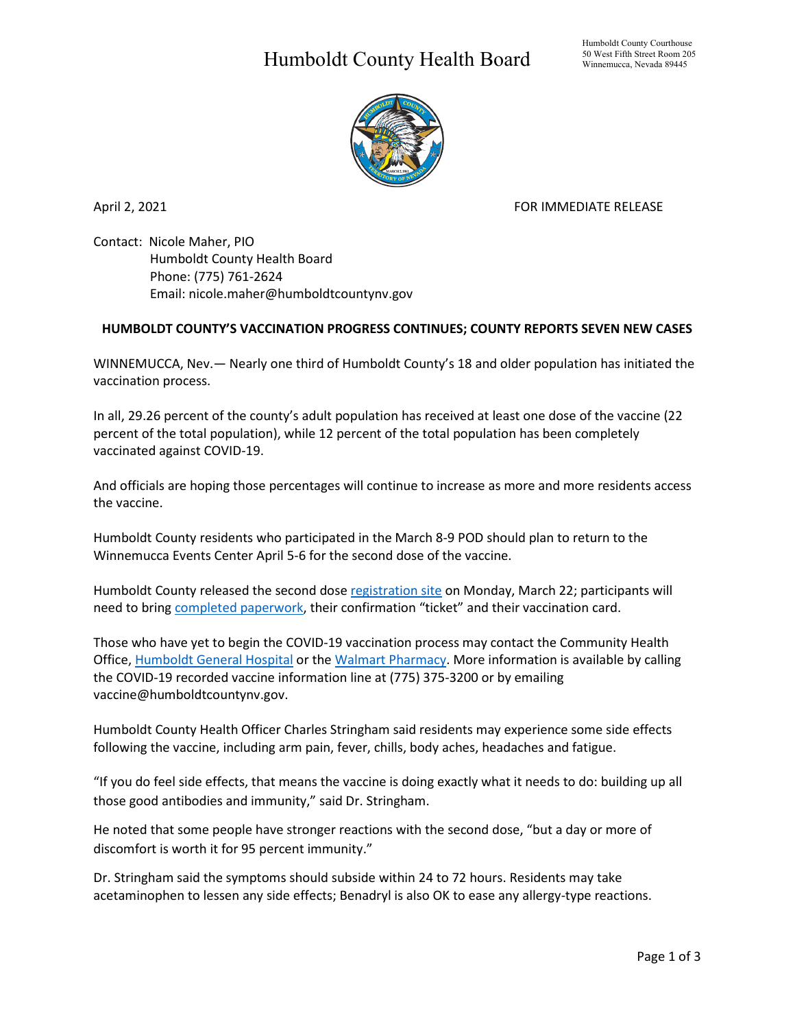## Humboldt County Health Board



April 2, 2021 **FOR IMMEDIATE RELEASE** 

Contact: Nicole Maher, PIO Humboldt County Health Board Phone: (775) 761-2624 Email: nicole.maher@humboldtcountynv.gov

## **HUMBOLDT COUNTY'S VACCINATION PROGRESS CONTINUES; COUNTY REPORTS SEVEN NEW CASES**

WINNEMUCCA, Nev.— Nearly one third of Humboldt County's 18 and older population has initiated the vaccination process.

In all, 29.26 percent of the county's adult population has received at least one dose of the vaccine (22 percent of the total population), while 12 percent of the total population has been completely vaccinated against COVID-19.

And officials are hoping those percentages will continue to increase as more and more residents access the vaccine.

Humboldt County residents who participated in the March 8-9 POD should plan to return to the Winnemucca Events Center April 5-6 for the second dose of the vaccine.

Humboldt County released the second dose [registration site](https://humboldtvaccinepodsecond.eventbrite.com/) on Monday, March 22; participants will need to brin[g completed paperwork,](https://www.humboldtcountynv.gov/DocumentCenter/View/5343/COVID19-VaccineSecond-Dose) their confirmation "ticket" and their vaccination card.

Those who have yet to begin the COVID-19 vaccination process may contact the Community Health Office, [Humboldt General Hospital](https://www.hghospital.org/patients-and-visitors/covid-19-vaccine-clinics/) or the [Walmart Pharmacy.](https://www.walmart.com/COVIDvaccine) More information is available by calling the COVID-19 recorded vaccine information line at (775) 375-3200 or by emailing vaccine@humboldtcountynv.gov.

Humboldt County Health Officer Charles Stringham said residents may experience some side effects following the vaccine, including arm pain, fever, chills, body aches, headaches and fatigue.

"If you do feel side effects, that means the vaccine is doing exactly what it needs to do: building up all those good antibodies and immunity," said Dr. Stringham.

He noted that some people have stronger reactions with the second dose, "but a day or more of discomfort is worth it for 95 percent immunity."

Dr. Stringham said the symptoms should subside within 24 to 72 hours. Residents may take acetaminophen to lessen any side effects; Benadryl is also OK to ease any allergy-type reactions.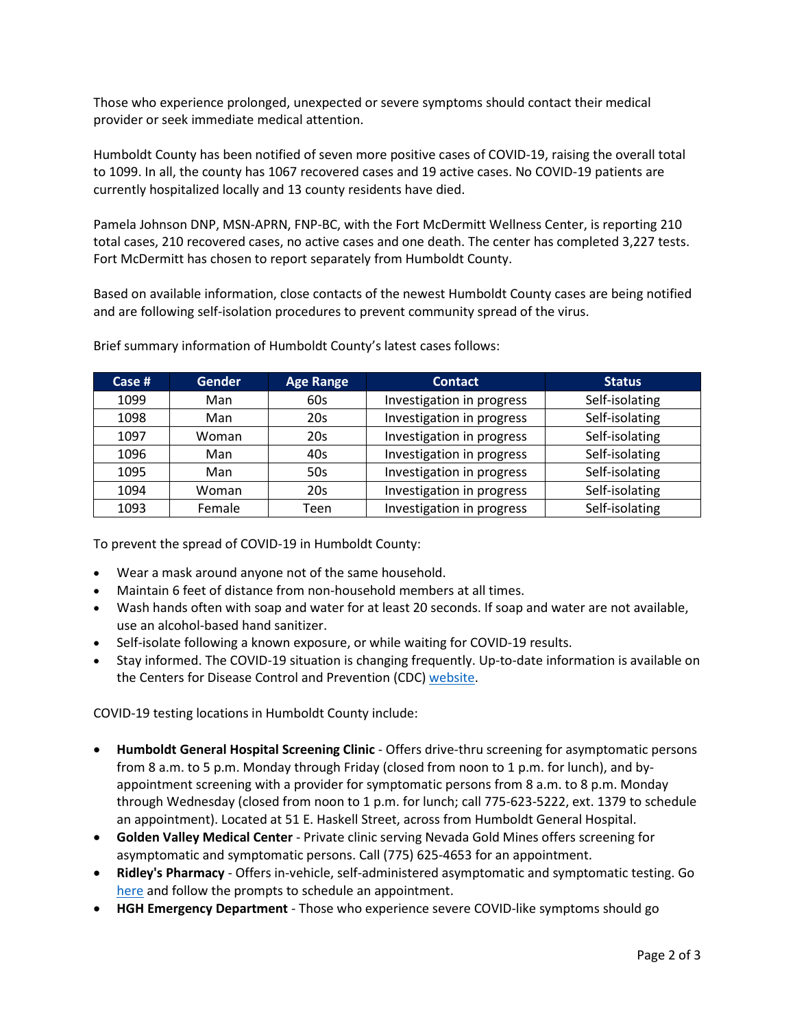Those who experience prolonged, unexpected or severe symptoms should contact their medical provider or seek immediate medical attention.

Humboldt County has been notified of seven more positive cases of COVID-19, raising the overall total to 1099. In all, the county has 1067 recovered cases and 19 active cases. No COVID-19 patients are currently hospitalized locally and 13 county residents have died.

Pamela Johnson DNP, MSN-APRN, FNP-BC, with the Fort McDermitt Wellness Center, is reporting 210 total cases, 210 recovered cases, no active cases and one death. The center has completed 3,227 tests. Fort McDermitt has chosen to report separately from Humboldt County.

Based on available information, close contacts of the newest Humboldt County cases are being notified and are following self-isolation procedures to prevent community spread of the virus.

| Case $#$ | <b>Gender</b> | <b>Age Range</b> | <b>Contact</b>            | <b>Status</b>  |
|----------|---------------|------------------|---------------------------|----------------|
| 1099     | Man           | 60s              | Investigation in progress | Self-isolating |
| 1098     | Man           | 20s              | Investigation in progress | Self-isolating |
| 1097     | Woman         | 20s              | Investigation in progress | Self-isolating |
| 1096     | Man           | 40s              | Investigation in progress | Self-isolating |
| 1095     | Man           | 50s              | Investigation in progress | Self-isolating |
| 1094     | Woman         | 20s              | Investigation in progress | Self-isolating |
| 1093     | Female        | Teen             | Investigation in progress | Self-isolating |

Brief summary information of Humboldt County's latest cases follows:

To prevent the spread of COVID-19 in Humboldt County:

- Wear a mask around anyone not of the same household.
- Maintain 6 feet of distance from non-household members at all times.
- Wash hands often with soap and water for at least 20 seconds. If soap and water are not available, use an alcohol-based hand sanitizer.
- Self-isolate following a known exposure, or while waiting for COVID-19 results.
- Stay informed. The COVID-19 situation is changing frequently. Up-to-date information is available on the Centers for Disease Control and Prevention (CDC) [website.](http://www.cdc.gov/coronavirus/2019-ncov/index.html)

COVID-19 testing locations in Humboldt County include:

- **Humboldt General Hospital Screening Clinic** Offers drive-thru screening for asymptomatic persons from 8 a.m. to 5 p.m. Monday through Friday (closed from noon to 1 p.m. for lunch), and byappointment screening with a provider for symptomatic persons from 8 a.m. to 8 p.m. Monday through Wednesday (closed from noon to 1 p.m. for lunch; call 775-623-5222, ext. 1379 to schedule an appointment). Located at 51 E. Haskell Street, across from Humboldt General Hospital.
- **Golden Valley Medical Center** Private clinic serving Nevada Gold Mines offers screening for asymptomatic and symptomatic persons. Call (775) 625-4653 for an appointment.
- **Ridley's Pharmacy** Offers in-vehicle, self-administered asymptomatic and symptomatic testing. Go [here](https://www.doineedacovid19test.com/Winnemucca_NV_1098.html) and follow the prompts to schedule an appointment.
- **HGH Emergency Department**  Those who experience severe COVID-like symptoms should go